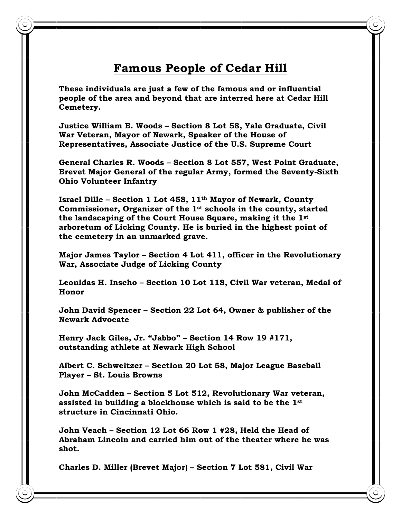## **Famous People of Cedar Hill**

**These individuals are just a few of the famous and or influential people of the area and beyond that are interred here at Cedar Hill Cemetery.** 

**Justice William B. Woods – Section 8 Lot 58, Yale Graduate, Civil War Veteran, Mayor of Newark, Speaker of the House of Representatives, Associate Justice of the U.S. Supreme Court** 

**General Charles R. Woods – Section 8 Lot 557, West Point Graduate, Brevet Major General of the regular Army, formed the Seventy-Sixth Ohio Volunteer Infantry** 

**Israel Dille – Section 1 Lot 458, 11th Mayor of Newark, County Commissioner, Organizer of the 1st schools in the county, started the landscaping of the Court House Square, making it the 1st arboretum of Licking County. He is buried in the highest point of the cemetery in an unmarked grave.** 

**Major James Taylor – Section 4 Lot 411, officer in the Revolutionary War, Associate Judge of Licking County** 

**Leonidas H. Inscho – Section 10 Lot 118, Civil War veteran, Medal of Honor** 

**John David Spencer – Section 22 Lot 64, Owner & publisher of the Newark Advocate** 

**Henry Jack Giles, Jr. "Jabbo" – Section 14 Row 19 #171, outstanding athlete at Newark High School** 

**Albert C. Schweitzer – Section 20 Lot 58, Major League Baseball Player – St. Louis Browns** 

**John McCadden – Section 5 Lot 512, Revolutionary War veteran, assisted in building a blockhouse which is said to be the 1st structure in Cincinnati Ohio.** 

**John Veach – Section 12 Lot 66 Row 1 #28, Held the Head of Abraham Lincoln and carried him out of the theater where he was shot.** 

**Charles D. Miller (Brevet Major) – Section 7 Lot 581, Civil War**